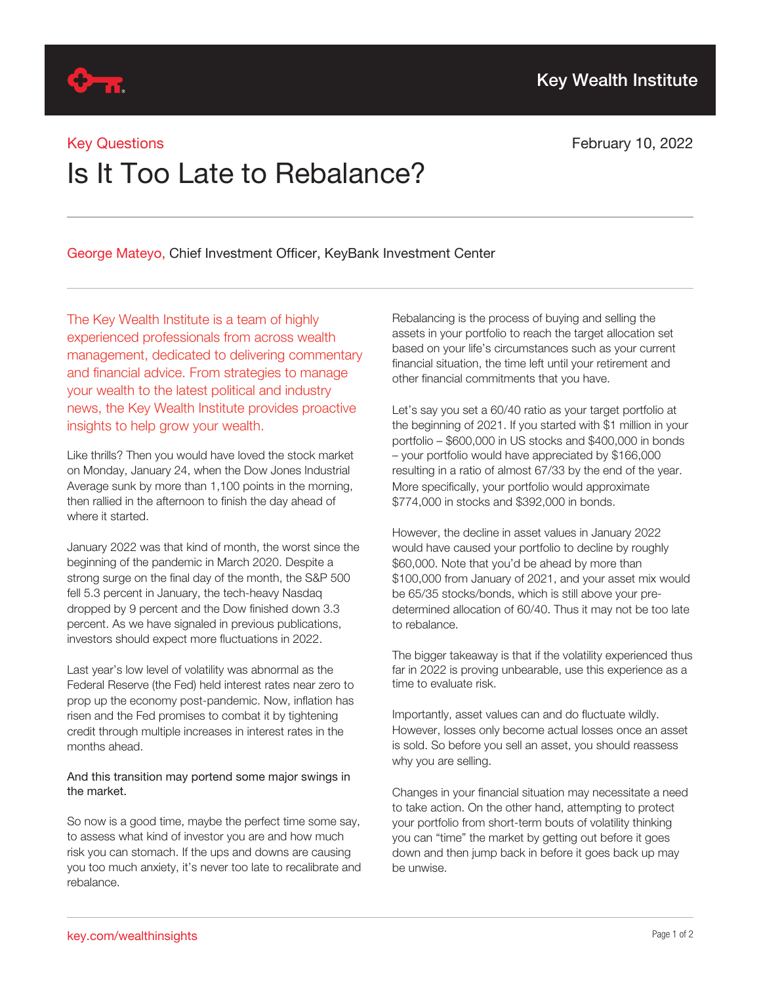

### Key Questions

# February 10, 2022

# Is It Too Late to Rebalance?

George Mateyo, Chief Investment Officer, KeyBank Investment Center

The Key Wealth Institute is a team of highly experienced professionals from across wealth management, dedicated to delivering commentary and financial advice. From strategies to manage your wealth to the latest political and industry news, the Key Wealth Institute provides proactive insights to help grow your wealth.

Like thrills? Then you would have loved the stock market on Monday, January 24, when the Dow Jones Industrial Average sunk by more than 1,100 points in the morning, then rallied in the afternoon to finish the day ahead of where it started.

January 2022 was that kind of month, the worst since the beginning of the pandemic in March 2020. Despite a strong surge on the final day of the month, the S&P 500 fell 5.3 percent in January, the tech-heavy Nasdaq dropped by 9 percent and the Dow finished down 3.3 percent. As we have signaled in previous publications, investors should expect more fluctuations in 2022.

Last year's low level of volatility was abnormal as the Federal Reserve (the Fed) held interest rates near zero to prop up the economy post-pandemic. Now, inflation has risen and the Fed promises to combat it by tightening credit through multiple increases in interest rates in the months ahead.

### And this transition may portend some major swings in the market.

So now is a good time, maybe the perfect time some say, to assess what kind of investor you are and how much risk you can stomach. If the ups and downs are causing you too much anxiety, it's never too late to recalibrate and rebalance.

Rebalancing is the process of buying and selling the assets in your portfolio to reach the target allocation set based on your life's circumstances such as your current financial situation, the time left until your retirement and other financial commitments that you have.

Let's say you set a 60/40 ratio as your target portfolio at the beginning of 2021. If you started with \$1 million in your portfolio – \$600,000 in US stocks and \$400,000 in bonds – your portfolio would have appreciated by \$166,000 resulting in a ratio of almost 67/33 by the end of the year. More specifically, your portfolio would approximate \$774,000 in stocks and \$392,000 in bonds.

However, the decline in asset values in January 2022 would have caused your portfolio to decline by roughly \$60,000. Note that you'd be ahead by more than \$100,000 from January of 2021, and your asset mix would be 65/35 stocks/bonds, which is still above your predetermined allocation of 60/40. Thus it may not be too late to rebalance.

The bigger takeaway is that if the volatility experienced thus far in 2022 is proving unbearable, use this experience as a time to evaluate risk.

Importantly, asset values can and do fluctuate wildly. However, losses only become actual losses once an asset is sold. So before you sell an asset, you should reassess why you are selling.

Changes in your financial situation may necessitate a need to take action. On the other hand, attempting to protect your portfolio from short-term bouts of volatility thinking you can "time" the market by getting out before it goes down and then jump back in before it goes back up may be unwise.